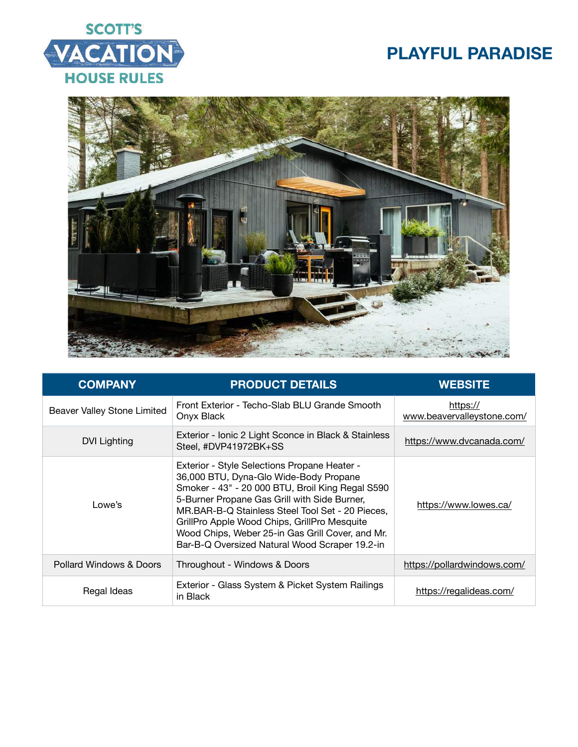



| <b>COMPANY</b>              | <b>PRODUCT DETAILS</b>                                                                                                                                                                                                                                                                                                                                                                               | <b>WEBSITE</b>                         |
|-----------------------------|------------------------------------------------------------------------------------------------------------------------------------------------------------------------------------------------------------------------------------------------------------------------------------------------------------------------------------------------------------------------------------------------------|----------------------------------------|
| Beaver Valley Stone Limited | Front Exterior - Techo-Slab BLU Grande Smooth<br>Onyx Black                                                                                                                                                                                                                                                                                                                                          | https://<br>www.beavervalleystone.com/ |
| DVI Lighting                | Exterior - Ionic 2 Light Sconce in Black & Stainless<br>Steel, #DVP41972BK+SS                                                                                                                                                                                                                                                                                                                        | https://www.dvcanada.com/              |
| Lowe's                      | Exterior - Style Selections Propane Heater -<br>36,000 BTU, Dyna-Glo Wide-Body Propane<br>Smoker - 43" - 20 000 BTU, Broil King Regal S590<br>5-Burner Propane Gas Grill with Side Burner,<br>MR.BAR-B-Q Stainless Steel Tool Set - 20 Pieces,<br>GrillPro Apple Wood Chips, GrillPro Mesquite<br>Wood Chips, Weber 25-in Gas Grill Cover, and Mr.<br>Bar-B-Q Oversized Natural Wood Scraper 19.2-in | https://www.lowes.ca/                  |
| Pollard Windows & Doors     | Throughout - Windows & Doors                                                                                                                                                                                                                                                                                                                                                                         | https://pollardwindows.com/            |
| Regal Ideas                 | Exterior - Glass System & Picket System Railings<br>in Black                                                                                                                                                                                                                                                                                                                                         | https://regalideas.com/                |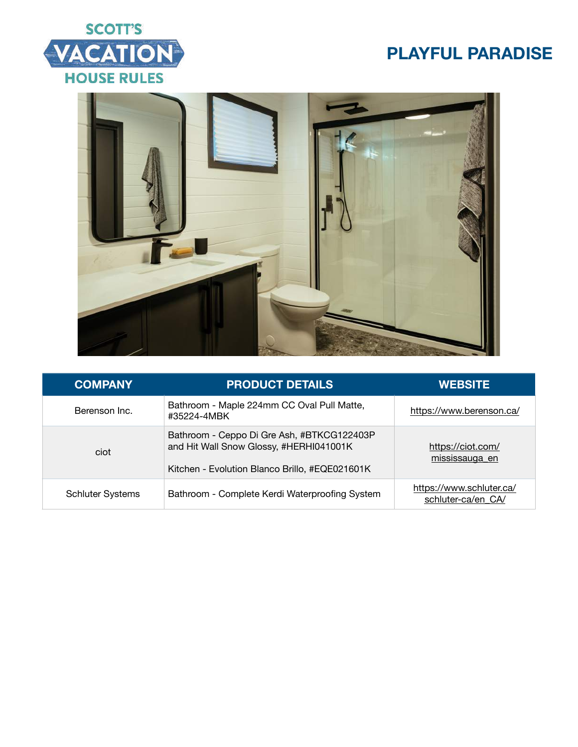



| <b>COMPANY</b>          | <b>PRODUCT DETAILS</b>                                                                                                                  | <b>WEBSITE</b>                                 |
|-------------------------|-----------------------------------------------------------------------------------------------------------------------------------------|------------------------------------------------|
| Berenson Inc.           | Bathroom - Maple 224mm CC Oval Pull Matte,<br>#35224-4MBK                                                                               | https://www.berenson.ca/                       |
| ciot                    | Bathroom - Ceppo Di Gre Ash, #BTKCG122403P<br>and Hit Wall Snow Glossy, #HERHI041001K<br>Kitchen - Evolution Blanco Brillo, #EQE021601K | https://ciot.com/<br>mississauga en            |
| <b>Schluter Systems</b> | Bathroom - Complete Kerdi Waterproofing System                                                                                          | https://www.schluter.ca/<br>schluter-ca/en CA/ |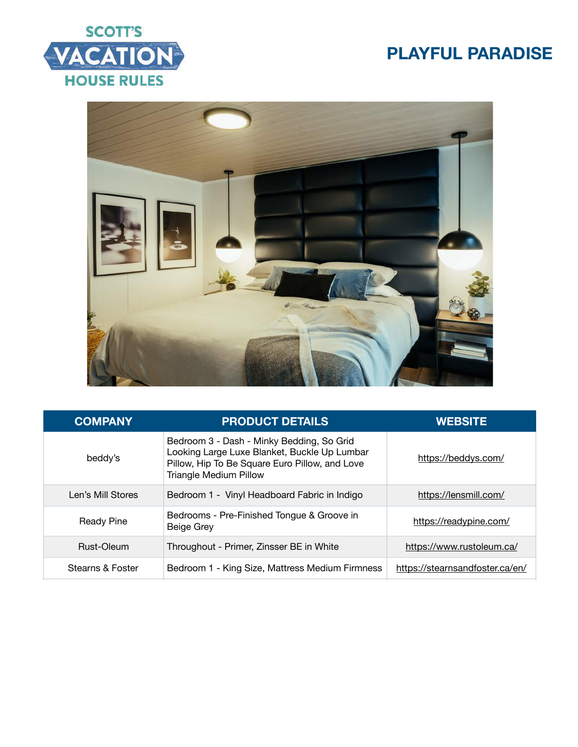





| <b>COMPANY</b>    | <b>PRODUCT DETAILS</b>                                                                                                                                                       | <b>WEBSITE</b>                  |
|-------------------|------------------------------------------------------------------------------------------------------------------------------------------------------------------------------|---------------------------------|
| beddy's           | Bedroom 3 - Dash - Minky Bedding, So Grid<br>Looking Large Luxe Blanket, Buckle Up Lumbar<br>Pillow, Hip To Be Square Euro Pillow, and Love<br><b>Triangle Medium Pillow</b> | https://beddys.com/             |
| Len's Mill Stores | Bedroom 1 - Vinyl Headboard Fabric in Indigo                                                                                                                                 | https://lensmill.com/           |
| <b>Ready Pine</b> | Bedrooms - Pre-Finished Tongue & Groove in<br><b>Beige Grey</b>                                                                                                              | https://readypine.com/          |
| Rust-Oleum        | Throughout - Primer, Zinsser BE in White                                                                                                                                     | https://www.rustoleum.ca/       |
| Stearns & Foster  | Bedroom 1 - King Size, Mattress Medium Firmness                                                                                                                              | https://stearnsandfoster.ca/en/ |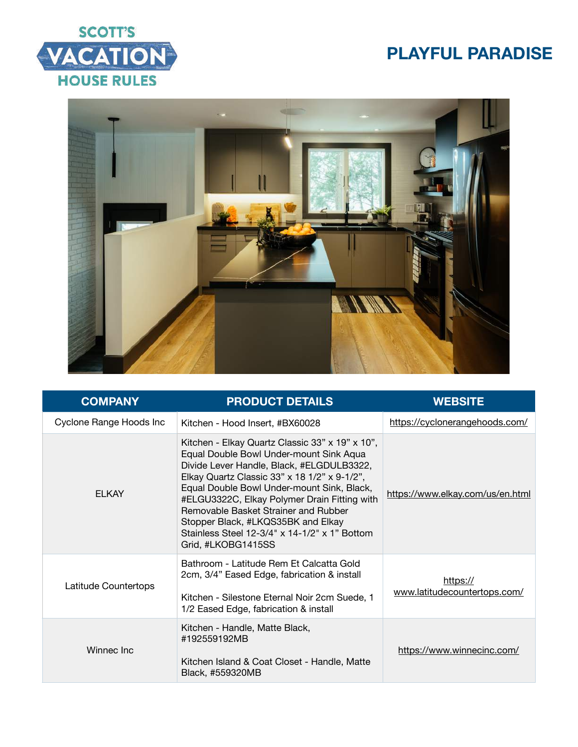



| <b>COMPANY</b>          | <b>PRODUCT DETAILS</b>                                                                                                                                                                                                                                                                                                                                                                                                                     | <b>WEBSITE</b>                           |
|-------------------------|--------------------------------------------------------------------------------------------------------------------------------------------------------------------------------------------------------------------------------------------------------------------------------------------------------------------------------------------------------------------------------------------------------------------------------------------|------------------------------------------|
| Cyclone Range Hoods Inc | Kitchen - Hood Insert, #BX60028                                                                                                                                                                                                                                                                                                                                                                                                            | https://cyclonerangehoods.com/           |
| <b>ELKAY</b>            | Kitchen - Elkay Quartz Classic 33" x 19" x 10",<br>Equal Double Bowl Under-mount Sink Aqua<br>Divide Lever Handle, Black, #ELGDULB3322,<br>Elkay Quartz Classic 33" x 18 1/2" x 9-1/2",<br>Equal Double Bowl Under-mount Sink, Black,<br>#ELGU3322C, Elkay Polymer Drain Fitting with<br>Removable Basket Strainer and Rubber<br>Stopper Black, #LKQS35BK and Elkay<br>Stainless Steel 12-3/4" x 14-1/2" x 1" Bottom<br>Grid, #LKOBG1415SS | https://www.elkay.com/us/en.html         |
| Latitude Countertops    | Bathroom - Latitude Rem Et Calcatta Gold<br>2cm, 3/4" Eased Edge, fabrication & install<br>Kitchen - Silestone Eternal Noir 2cm Suede, 1<br>1/2 Eased Edge, fabrication & install                                                                                                                                                                                                                                                          | https://<br>www.latitudecountertops.com/ |
| Winnec Inc              | Kitchen - Handle, Matte Black,<br>#192559192MB<br>Kitchen Island & Coat Closet - Handle, Matte<br>Black, #559320MB                                                                                                                                                                                                                                                                                                                         | https://www.winnecinc.com/               |